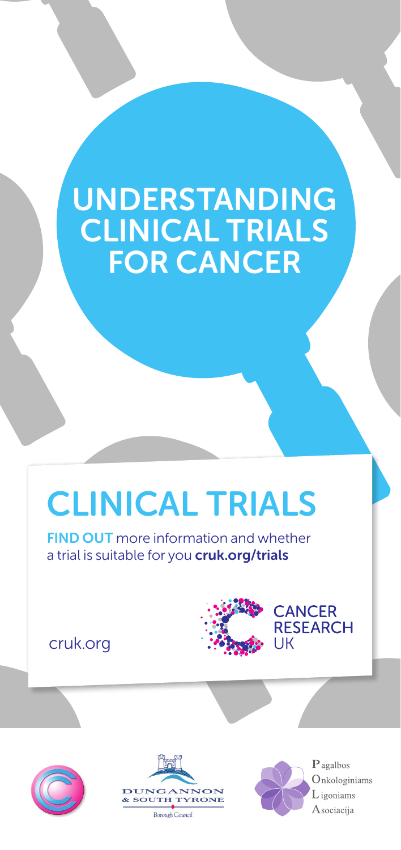# **UNDERSTANDING** clinical trials for cancer

# CLINICAL TRIALS

**FIND OUT** more information and whether a trial is suitable for you **cruk.org/trials** 

cruk.org







Pagalbos Onkologiniams L igoniams Asociacija

**RESEARCH** 

UK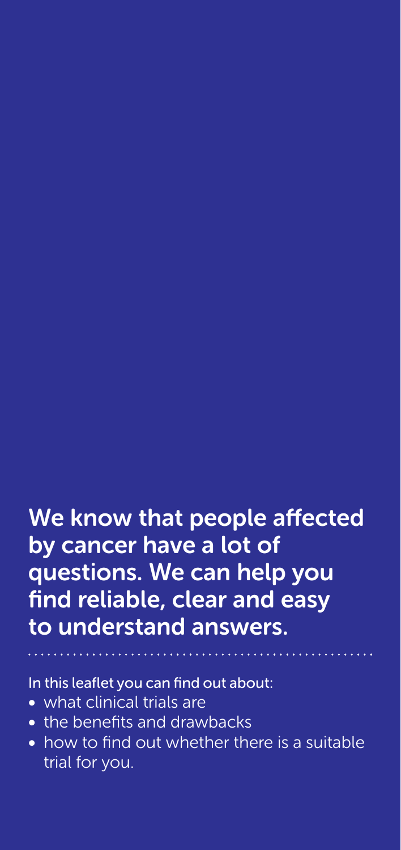# We know that people affected by cancer have a lot of questions. We can help you find reliable, clear and easy to understand answers.

In this leaflet you can find out about:

- what clinical trials are
- the benefits and drawbacks
- how to find out whether there is a suitable trial for you.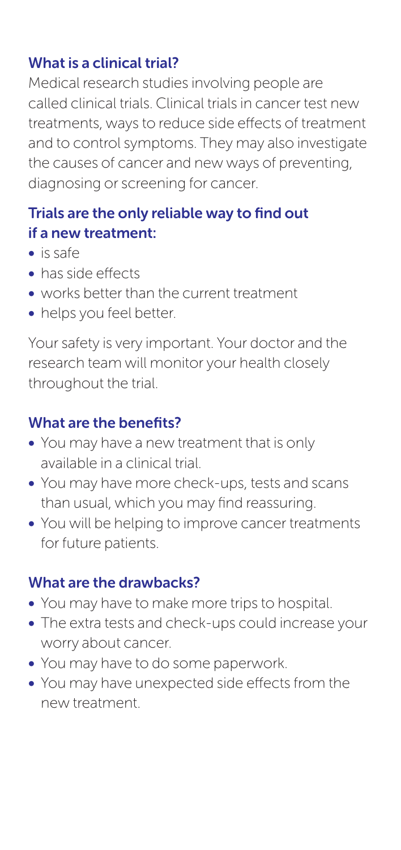### What is a clinical trial?

Medical research studies involving people are called clinical trials. Clinical trials in cancer test new treatments, ways to reduce side effects of treatment and to control symptoms. They may also investigate the causes of cancer and new ways of preventing, diagnosing or screening for cancer.

# Trials are the only reliable way to find out if a new treatment:

- is safe
- has side effects
- works better than the current treatment
- helps you feel better.

Your safety is very important. Your doctor and the research team will monitor your health closely throughout the trial.

### What are the benefits?

- You may have a new treatment that is only available in a clinical trial.
- You may have more check-ups, tests and scans than usual, which you may find reassuring.
- You will be helping to improve cancer treatments for future patients.

### What are the drawbacks?

- You may have to make more trips to hospital.
- The extra tests and check-ups could increase your worry about cancer.
- You may have to do some paperwork.
- You may have unexpected side effects from the new treatment.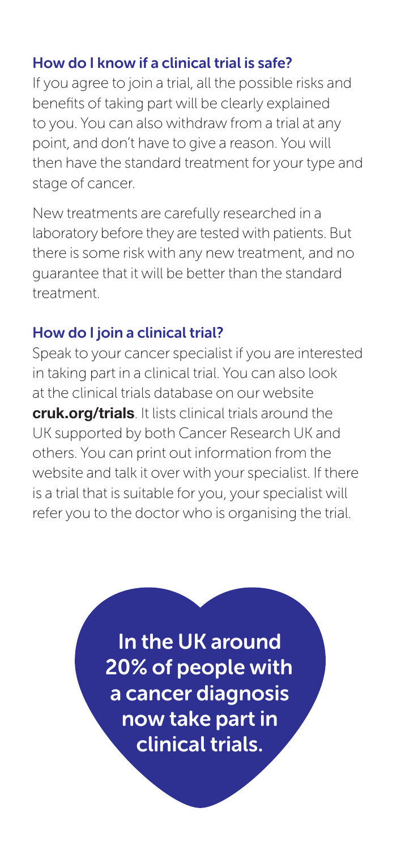### How do I know if a clinical trial is safe?

If you agree to join a trial, all the possible risks and benefits of taking part will be clearly explained to you. You can also withdraw from a trial at any point, and don't have to give a reason. You will then have the standard treatment for your type and stage of cancer.

New treatments are carefully researched in a laboratory before they are tested with patients. But there is some risk with any new treatment, and no guarantee that it will be better than the standard treatment.

### How do I join a clinical trial?

Speak to your cancer specialist if you are interested in taking part in a clinical trial. You can also look at the clinical trials database on our website cruk.org/trials. It lists clinical trials around the UK supported by both Cancer Research UK and others. You can print out information from the website and talk it over with your specialist. If there is a trial that is suitable for you, your specialist will refer you to the doctor who is organising the trial.

> In the UK around 20% of people with a cancer diagnosis now take part in clinical trials.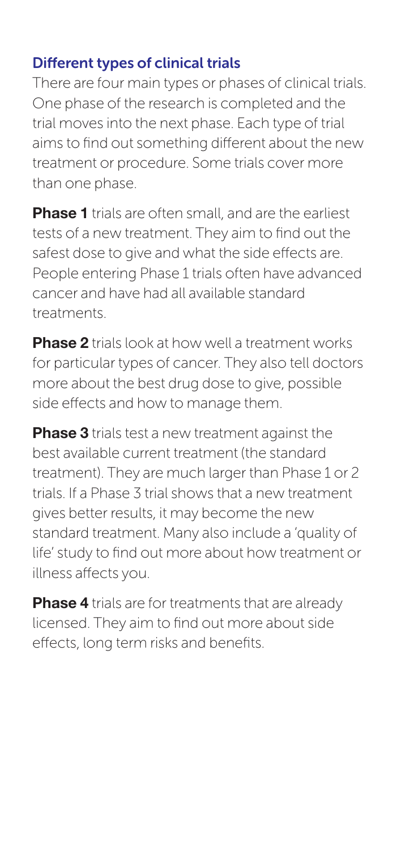### Different types of clinical trials

There are four main types or phases of clinical trials. One phase of the research is completed and the trial moves into the next phase. Each type of trial aims to find out something different about the new treatment or procedure. Some trials cover more than one phase.

Phase 1 trials are often small, and are the earliest tests of a new treatment. They aim to find out the safest dose to give and what the side effects are. People entering Phase 1 trials often have advanced cancer and have had all available standard treatments.

**Phase 2** trials look at how well a treatment works for particular types of cancer. They also tell doctors more about the best drug dose to give, possible side effects and how to manage them.

**Phase 3** trials test a new treatment against the best available current treatment (the standard treatment). They are much larger than Phase 1 or 2 trials. If a Phase 3 trial shows that a new treatment gives better results, it may become the new standard treatment. Many also include a 'quality of life' study to find out more about how treatment or illness affects you.

Phase 4 trials are for treatments that are already licensed. They aim to find out more about side effects, long term risks and benefits.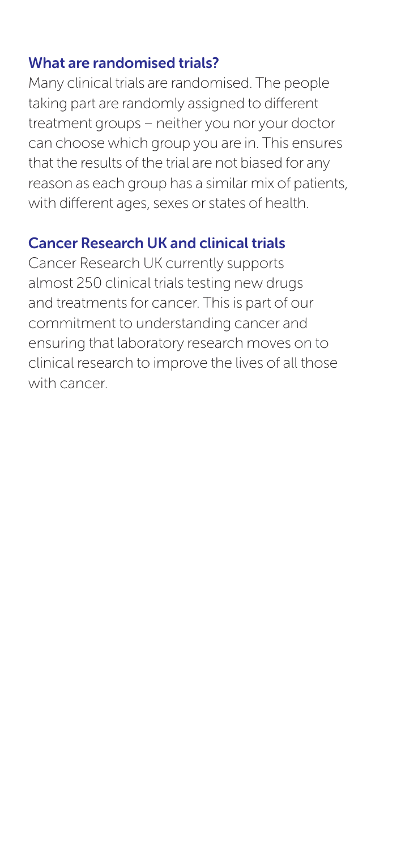#### What are randomised trials?

Many clinical trials are randomised. The people taking part are randomly assigned to different treatment groups – neither you nor your doctor can choose which group you are in. This ensures that the results of the trial are not biased for any reason as each group has a similar mix of patients, with different ages, sexes or states of health.

### Cancer Research UK and clinical trials

Cancer Research UK currently supports almost 250 clinical trials testing new drugs and treatments for cancer. This is part of our commitment to understanding cancer and ensuring that laboratory research moves on to clinical research to improve the lives of all those with cancer.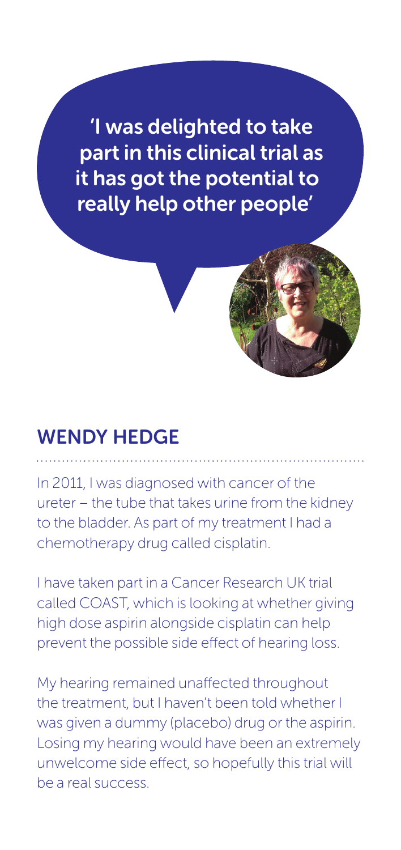'I was delighted to take part in this clinical trial as it has got the potential to really help other people'

# Wendy Hedge

In 2011, I was diagnosed with cancer of the ureter – the tube that takes urine from the kidney to the bladder. As part of my treatment I had a chemotherapy drug called cisplatin.

I have taken part in a Cancer Research UK trial called COAST, which is looking at whether giving high dose aspirin alongside cisplatin can help prevent the possible side effect of hearing loss.

My hearing remained unaffected throughout the treatment, but I haven't been told whether I was given a dummy (placebo) drug or the aspirin. Losing my hearing would have been an extremely unwelcome side effect, so hopefully this trial will be a real success.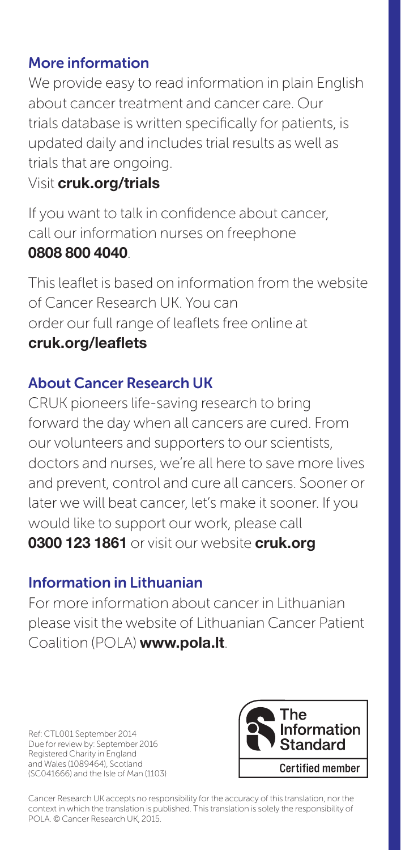### More information

We provide easy to read information in plain English about cancer treatment and cancer care. Our trials database is written specifically for patients, is updated daily and includes trial results as well as trials that are ongoing.

## Visit cruk.org/trials

If you want to talk in confidence about cancer, call our information nurses on freephone 0808 800 4040.

This leaflet is based on information from the website of Cancer Research UK. You can order our full range of leaflets free online at cruk.org/leaflets

## About Cancer Research UK

CRUK pioneers life-saving research to bring forward the day when all cancers are cured. From our volunteers and supporters to our scientists, doctors and nurses, we're all here to save more lives and prevent, control and cure all cancers. Sooner or later we will beat cancer, let's make it sooner. If you would like to support our work, please call 0300 123 1861 or visit our website cruk.org

### Information in Lithuanian

For more information about cancer in Lithuanian please visit the website of Lithuanian Cancer Patient Coalition (POLA) www.pola.lt.

Ref: CTL001 September 2014 Due for review by: September 2016 Registered Charity in England and Wales (1089464), Scotland (SC041666) and the Isle of Man (1103)



Cancer Research UK accepts no responsibility for the accuracy of this translation, nor the context in which the translation is published. This translation is solely the responsibility of POLA. © Cancer Research UK, 2015.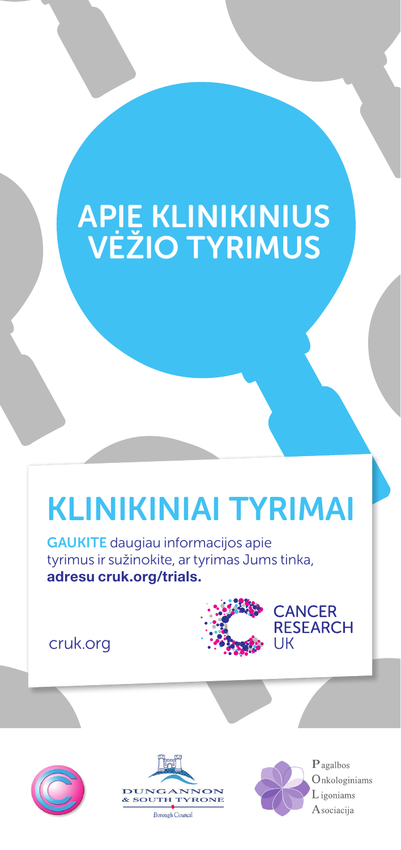# APIE KLINIKINIUS VĖŽIO TYRIMUS

# KLINIKINIAI TYRIMAI

GAUKITE daugiau informacijos apie tyrimus ir sužinokite, ar tyrimas Jums tinka, adresu cruk.org/trials.

cruk.org









**CANCER RESEARCH** 

UK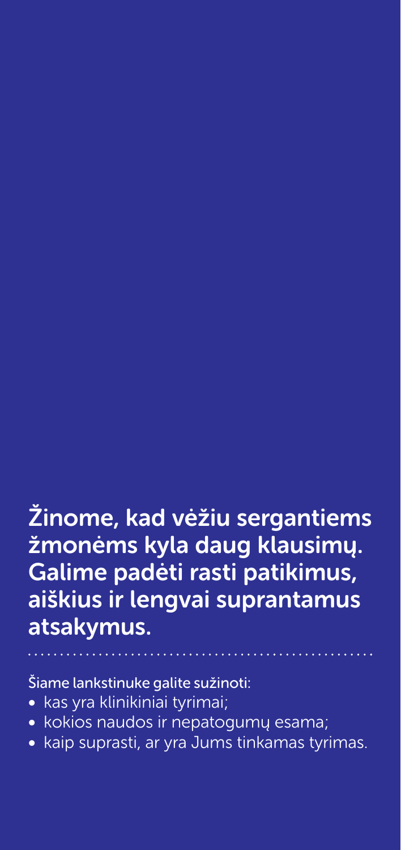# Žinome, kad vėžiu sergantiems žmonėms kyla daug klausimų. Galime padėti rasti patikimus, aiškius ir lengvai suprantamus atsakymus.

Šiame lankstinuke galite sužinoti:

- kas yra klinikiniai tyrimai;
- kokios naudos ir nepatogumų esama;
- kaip suprasti, ar yra Jums tinkamas tyrimas.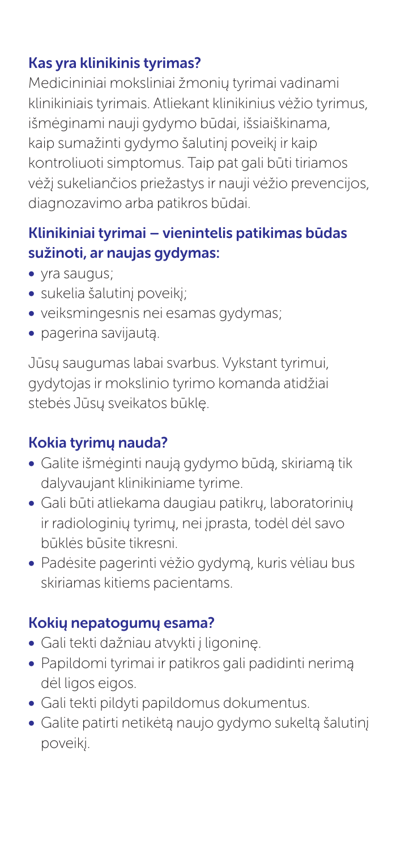# Kas yra klinikinis tyrimas?

Medicininiai moksliniai žmonių tyrimai vadinami klinikiniais tyrimais. Atliekant klinikinius vėžio tyrimus, išmėginami nauji gydymo būdai, išsiaiškinama, kaip sumažinti gydymo šalutinį poveikį ir kaip kontroliuoti simptomus. Taip pat gali būti tiriamos vėžį sukeliančios priežastys ir nauji vėžio prevencijos, diagnozavimo arba patikros būdai.

## Klinikiniai tyrimai – vienintelis patikimas būdas sužinoti, ar naujas gydymas:

- yra saugus;
- sukelia šalutinį poveikį;
- veiksmingesnis nei esamas gydymas;
- pagerina savijautą.

Jūsų saugumas labai svarbus. Vykstant tyrimui, gydytojas ir mokslinio tyrimo komanda atidžiai stebės Jūsų sveikatos būklę.

# Kokia tyrimų nauda?

- Galite išmėginti naują gydymo būdą, skiriamą tik dalyvaujant klinikiniame tyrime.
- Gali būti atliekama daugiau patikrų, laboratorinių ir radiologinių tyrimų, nei įprasta, todėl dėl savo būklės būsite tikresni.
- Padėsite pagerinti vėžio gydymą, kuris vėliau bus skiriamas kitiems pacientams.

# Kokių nepatogumų esama?

- Gali tekti dažniau atvykti į ligoninę.
- Papildomi tyrimai ir patikros gali padidinti nerimą dėl ligos eigos.
- Gali tekti pildyti papildomus dokumentus.
- Galite patirti netikėtą naujo gydymo sukeltą šalutinį poveikį.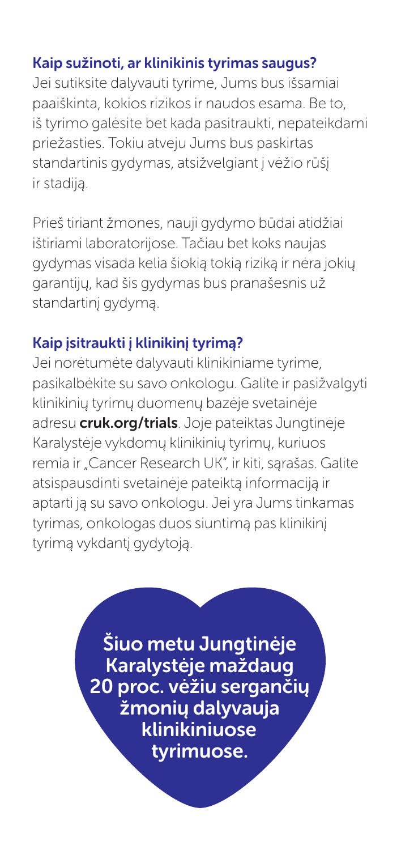### Kaip sužinoti, ar klinikinis tyrimas saugus?

Jei sutiksite dalyvauti tyrime, Jums bus išsamiai paaiškinta, kokios rizikos ir naudos esama. Be to, iš tyrimo galėsite bet kada pasitraukti, nepateikdami priežasties. Tokiu atveju Jums bus paskirtas standartinis gydymas, atsižvelgiant į vėžio rūšį ir stadiją.

Prieš tiriant žmones, nauji gydymo būdai atidžiai ištiriami laboratorijose. Tačiau bet koks naujas gydymas visada kelia šiokią tokią riziką ir nėra jokių garantijų, kad šis gydymas bus pranašesnis už standartinį gydymą.

### Kaip įsitraukti į klinikinį tyrimą?

Jei norėtumėte dalyvauti klinikiniame tyrime, pasikalbėkite su savo onkologu. Galite ir pasižvalgyti klinikinių tyrimų duomenų bazėje svetainėje adresu **cruk.org/trials**. Joje pateiktas Jungtinėje Karalystėje vykdomų klinikinių tyrimų, kuriuos remia ir "Cancer Research UK", ir kiti, sąrašas. Galite atsispausdinti svetainėje pateiktą informaciją ir aptarti ją su savo onkologu. Jei yra Jums tinkamas tyrimas, onkologas duos siuntimą pas klinikinį tyrimą vykdantį gydytoją.

> Šiuo metu Jungtinėje Karalystėje maždaug 20 proc. vėžiu sergančių žmonių dalyvauja klinikiniuose tyrimuose.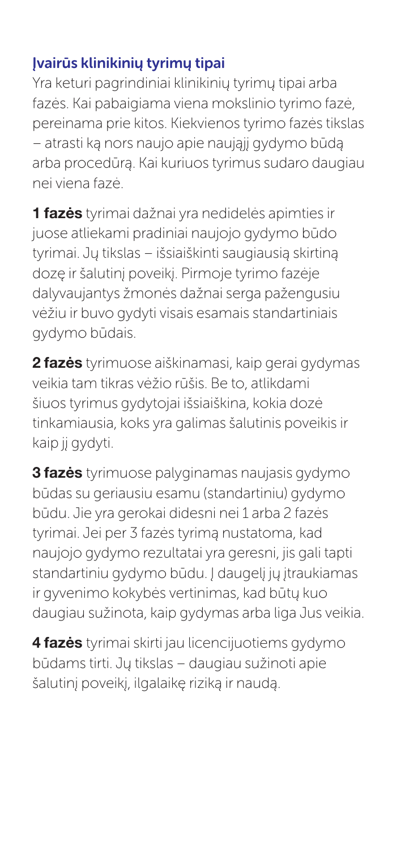# Įvairūs klinikinių tyrimų tipai

Yra keturi pagrindiniai klinikinių tyrimų tipai arba fazės. Kai pabaigiama viena mokslinio tyrimo fazė, pereinama prie kitos. Kiekvienos tyrimo fazės tikslas – atrasti ką nors naujo apie naująjį gydymo būdą arba procedūrą. Kai kuriuos tyrimus sudaro daugiau nei viena fazė.

1 fazės tyrimai dažnai yra nedidelės apimties ir juose atliekami pradiniai naujojo gydymo būdo tyrimai. Jų tikslas – išsiaiškinti saugiausią skirtiną dozę ir šalutinį poveikį. Pirmoje tyrimo fazėje dalyvaujantys žmonės dažnai serga pažengusiu vėžiu ir buvo gydyti visais esamais standartiniais gydymo būdais.

2 fazės tyrimuose aiškinamasi, kaip gerai gydymas veikia tam tikras vėžio rūšis. Be to, atlikdami šiuos tyrimus gydytojai išsiaiškina, kokia dozė tinkamiausia, koks yra galimas šalutinis poveikis ir kaip jį gydyti.

**3 fazės** tyrimuose palyginamas naujasis gydymo būdas su geriausiu esamu (standartiniu) gydymo būdu. Jie yra gerokai didesni nei 1 arba 2 fazės tyrimai. Jei per 3 fazės tyrimą nustatoma, kad naujojo gydymo rezultatai yra geresni, jis gali tapti standartiniu gydymo būdu. Į daugelį jų įtraukiamas ir gyvenimo kokybės vertinimas, kad būtų kuo daugiau sužinota, kaip gydymas arba liga Jus veikia.

4 fazės tyrimai skirti jau licencijuotiems gydymo būdams tirti. Jų tikslas – daugiau sužinoti apie šalutinį poveikį, ilgalaikę riziką ir naudą.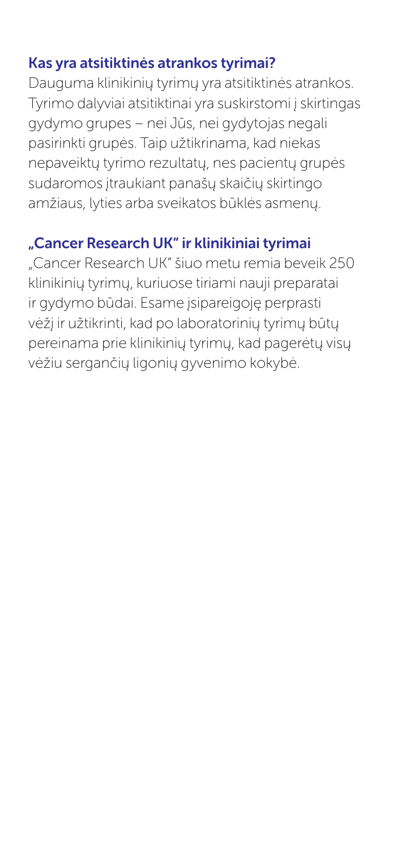### Kas yra atsitiktinės atrankos tyrimai?

Dauguma klinikinių tyrimų yra atsitiktinės atrankos. Tyrimo dalyviai atsitiktinai yra suskirstomi į skirtingas gydymo grupes – nei Jūs, nei gydytojas negali pasirinkti grupės. Taip užtikrinama, kad niekas nepaveiktų tyrimo rezultatų, nes pacientų grupės sudaromos įtraukiant panašų skaičių skirtingo amžiaus, lyties arba sveikatos būklės asmenų.

# "Cancer Research UK" ir klinikiniai tyrimai

"Cancer Research UK" šiuo metu remia beveik 250 klinikinių tyrimų, kuriuose tiriami nauji preparatai ir gydymo būdai. Esame įsipareigoję perprasti vėžį ir užtikrinti, kad po laboratorinių tyrimų būtų pereinama prie klinikinių tyrimų, kad pagerėtų visų vėžiu sergančių ligonių gyvenimo kokybė.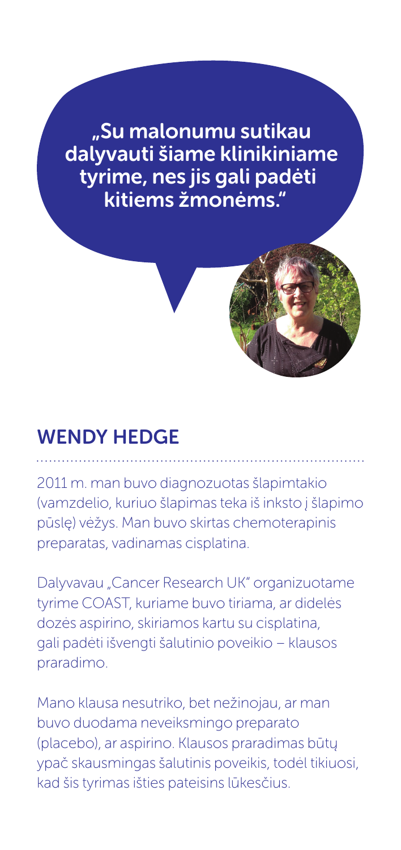..Su malonumu sutikau dalyvauti šiame klinikiniame tyrime, nes jis gali padėti kitiems žmonėms."

# Wendy Hedge

2011 m. man buvo diagnozuotas šlapimtakio (vamzdelio, kuriuo šlapimas teka iš inksto į šlapimo pūslę) vėžys. Man buvo skirtas chemoterapinis preparatas, vadinamas cisplatina.

Dalyvavau "Cancer Research UK" organizuotame tyrime COAST, kuriame buvo tiriama, ar didelės dozės aspirino, skiriamos kartu su cisplatina, gali padėti išvengti šalutinio poveikio – klausos praradimo.

Mano klausa nesutriko, bet nežinojau, ar man buvo duodama neveiksmingo preparato (placebo), ar aspirino. Klausos praradimas būtų ypač skausmingas šalutinis poveikis, todėl tikiuosi, kad šis tyrimas išties pateisins lūkesčius.